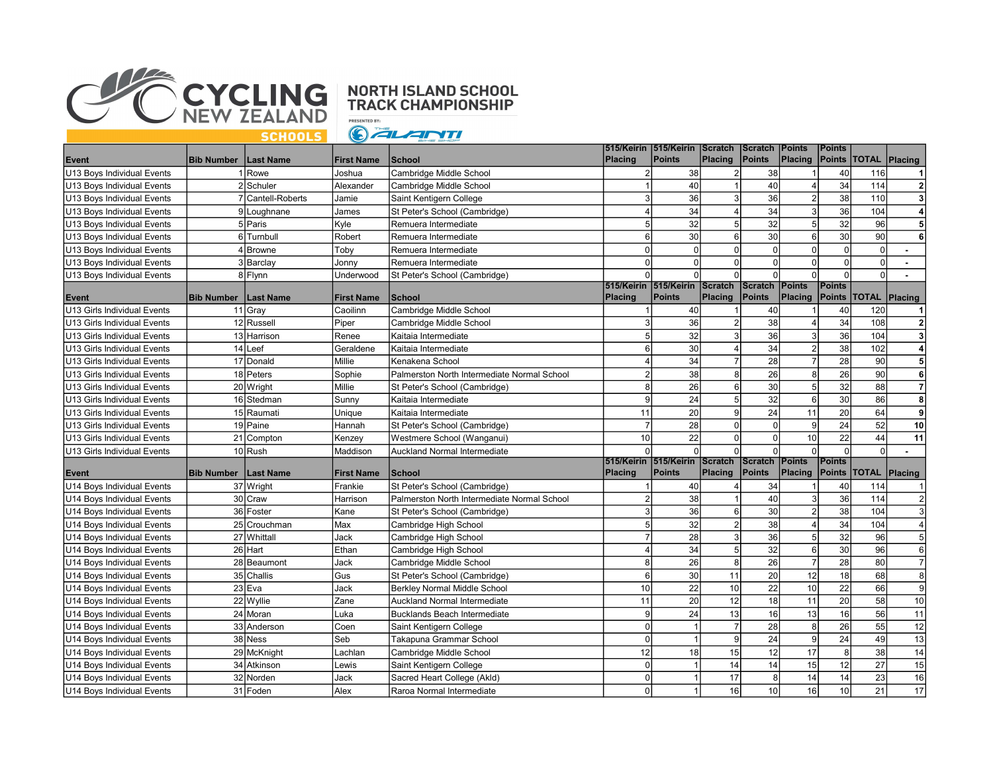

## **NORTH ISLAND SCHOOL<br>TRACK CHAMPIONSHIP**

**PRESENTED BY:** GALANTI

| Placing Points TOTAL Placing<br><b>Bib Number   Last Name</b><br>Cambridge Middle School<br>38<br>U13 Boys Individual Events<br>Rowe<br>Joshua<br>38<br>40<br>116<br>-1<br>$\mathbf{2}$<br>40<br>40<br>34<br>2 Schuler<br>Alexander<br>Cambridge Middle School<br>114<br>U13 Boys Individual Events<br>36<br>36<br>38<br>$\mathbf{3}$<br>7 Cantell-Roberts<br>110<br>3<br>$\overline{3}$<br>$\overline{2}$<br>U13 Boys Individual Events<br>Jamie<br>Saint Kentigern College<br>34<br>34<br>36<br>3<br>104<br>$\overline{4}$<br>James<br>St Peter's School (Cambridge)<br>$\overline{4}$<br>U13 Boys Individual Events<br>9 Loughnane<br>Kyle<br>5<br>32<br>32<br>5 <sup>5</sup><br>32<br>5<br>5 Paris<br>Remuera Intermediate<br>5 <sub>l</sub><br>96<br>U13 Boys Individual Events<br>30<br>30<br>30<br>Robert<br>Remuera Intermediate<br>6<br>$6 \mid$<br>90<br>6<br>U13 Boys Individual Events<br>6 Turnbull<br>$6 \mid$<br>$\mathbf 0$<br>$\mathbf 0$<br>Toby<br>$\Omega$<br>4 Browne<br>$\overline{0}$<br>$\Omega$<br>$\Omega$<br>U<br>U13 Boys Individual Events<br>Remuera Intermediate<br>$\mathbf 0$<br>$\Omega$<br>$\Omega$<br>$\Omega$<br>$\Omega$<br>$\Omega$<br>U13 Boys Individual Events<br>3 Barclay<br>Jonny<br>Remuera Intermediate<br>$\Omega$<br>$\Omega$<br>$\Omega$<br><sup>0</sup><br>U13 Boys Individual Events<br>8 Flynn<br>Underwood<br>St Peter's School (Cambridge)<br>$\Omega$<br>$\Omega$<br>U<br>515/Keirin 515/Keirin<br>Scratch<br><b>Points</b><br>Scratch<br><b>Points</b><br><b>Points</b><br><b>Placing</b><br>Points<br><b>Placing</b><br><b>Points</b><br><b>TOTAL</b><br>Placing<br><b>Bib Number   Last Name</b><br><b>First Name</b><br>School<br>Placing<br>Event<br>11 Gray<br>U13 Girls Individual Events<br>Cambridge Middle School<br>40<br>40<br>40<br>120<br>Caoilinn<br>-1<br>38<br>34<br>36<br>$\overline{2}$<br>12 Russell<br>Piper<br>3<br>$\overline{2}$<br>108<br>U13 Girls Individual Events<br>Cambridge Middle School<br>5<br>32<br>36<br>36<br>3<br>$\overline{3}$<br>104<br>3<br>13 Harrison<br>Renee<br>Kaitaia Intermediate<br>U13 Girls Individual Events<br>30<br>34<br>38<br>102<br>14 Leef<br>Geraldene<br>Kaitaia Intermediate<br>6<br>$\overline{2}$<br>4<br>U13 Girls Individual Events<br>28<br>34<br>28<br>$5\overline{5}$<br>Millie<br>$\overline{4}$<br>$\overline{7}$<br>$\overline{7}$<br>90<br>17 Donald<br>U13 Girls Individual Events<br>Kenakena School<br>$\overline{26}$<br>38<br>26<br>90<br>6<br>18 Peters<br>$\overline{2}$<br>$\mathbf{8}$<br>8<br>U13 Girls Individual Events<br>Sophie<br>Palmerston North Intermediate Normal School<br>32<br>$\overline{7}$<br>20 Wright<br>Millie<br>8<br>26<br>30<br>5 <sup>5</sup><br>88<br>U13 Girls Individual Events<br>St Peter's School (Cambridge)<br>$6 \mid$<br>8<br>9<br>24<br>32<br>30<br>86<br>16 Stedman<br>5<br>6<br>U13 Girls Individual Events<br>Sunny<br>Kaitaia Intermediate<br>$\overline{20}$<br>24<br>20<br>11<br>64<br>$\overline{9}$<br>15 Raumati<br>$\vert$ 9<br>11<br>U13 Girls Individual Events<br>Unique<br>Kaitaia Intermediate<br>24<br>52<br>19 Paine<br>$\overline{7}$<br>28<br>$\Omega$<br>10<br>U13 Girls Individual Events<br>Hannah<br>St Peter's School (Cambridge)<br>$\Omega$<br>$\overline{9}$<br>10<br>22<br>$\mathbf 0$<br>22<br>44<br>U13 Girls Individual Events<br>21 Compton<br>10<br>11<br>Kenzey<br>Westmere School (Wanganui)<br>$\overline{0}$<br>$\Omega$<br>$\Omega$<br>10 Rush<br>$\Omega$<br>U13 Girls Individual Events<br>Auckland Normal Intermediate<br>$\Omega$<br>$\Omega$<br>$\Omega$<br>Maddison<br>$\Omega$<br>515/Keirin 515/Keirin<br><b>Scratch</b><br>Scratch<br><b>Points</b><br><b>Points</b><br>Points<br><b>Points</b><br>Placing<br><b>Points</b><br>Placing<br><b>TOTAL</b><br><b>School</b><br>Placing<br>Placing<br>Event<br><b>Bib Number</b><br>Last Name<br><b>First Name</b><br>37 Wright<br>St Peter's School (Cambridge)<br>34<br>U14 Boys Individual Events<br>Frankie<br>40<br>40<br>114<br>38<br>40<br>36<br>2 <sup>1</sup><br>30 Craw<br>$\overline{2}$<br>$\overline{3}$<br>114<br>Harrison<br>Palmerston North Intermediate Normal School<br>U14 Boys Individual Events<br>$\mathbf{3}$<br>36<br>30<br>$\overline{a}$<br>38<br>104<br>$\overline{3}$<br>U14 Boys Individual Events<br>36 Foster<br>Kane<br>St Peter's School (Cambridge)<br>6<br>$\overline{32}$<br>38<br>$\overline{34}$<br>$\overline{4}$<br>$\sqrt{5}$<br>104<br>25 Crouchman<br>$\overline{2}$<br>Max<br>U14 Boys Individual Events<br>Cambridge High School<br>32<br>28<br>36<br>96<br>5 <sup>1</sup><br>27 Whittall<br>$\overline{7}$<br>3<br>5<br>Jack<br>U14 Boys Individual Events<br>Cambridge High School<br>32<br>30<br>26 Hart<br>34<br>6<br>96<br>$6 \overline{6}$<br>Ethan<br>$\overline{4}$<br>5<br>U14 Boys Individual Events<br>Cambridge High School<br>$\overline{7}$<br>26<br>28<br>8<br>26<br>$\overline{7}$<br>80<br>28 Beaumont<br>Jack<br>8 <sup>1</sup><br>U14 Boys Individual Events<br>Cambridge Middle School<br>8 <sup>1</sup><br>$6\phantom{1}$<br>30<br>20<br>18<br>68<br>35 Challis<br>Gus<br>11<br>12<br>St Peter's School (Cambridge)<br>U14 Boys Individual Events<br>22<br>10 <sup>1</sup><br>22<br>10 <sup>1</sup><br>22<br>$\mathbf{g}$<br>23 Eva<br>10<br>66<br>Jack<br>U14 Boys Individual Events<br>Berkley Normal Middle School<br>22 Wyllie<br>11<br>20<br>12<br>18<br>20<br>58<br>10<br>Zane<br>11<br>U14 Boys Individual Events<br>Auckland Normal Intermediate<br>$\overline{11}$<br>13<br>16<br>16<br>56<br>9<br>24<br>13<br>24 Moran<br><b>Bucklands Beach Intermediate</b><br>U14 Boys Individual Events<br>Luka<br>55<br>12<br>$\overline{7}$<br>28<br>26<br>$\mathbf 0$<br>33 Anderson<br>Coen<br>8 <sup>1</sup><br>U14 Boys Individual Events<br>Saint Kentigern College<br>13<br>$\pmb{0}$<br>$\vert$ 9<br>24<br>$\overline{9}$<br>24<br>49<br>38 Ness<br>Seb<br>Takapuna Grammar School<br>U14 Boys Individual Events<br>$\overline{14}$<br>17<br>12<br>18<br>15<br>12<br>8 <sup>1</sup><br>38<br>29 McKnight<br>Cambridge Middle School<br>U14 Boys Individual Events<br>Lachlan<br>27<br>15<br>14<br>14<br>15<br>34 Atkinson<br>$\pmb{0}$<br>12<br>Saint Kentigern College<br>U14 Boys Individual Events<br>Lewis<br>16<br>17<br>14<br>23<br>32 Norden<br>$\mathbf 0$<br>8<br>14<br>Sacred Heart College (Akld)<br>U14 Boys Individual Events<br>Jack<br>$\mathbf 0$<br>31 Foden |                            |  | <b>First Name</b> | School                    | Placing | 515/Keirin  515/Keirin<br>Points | Scratch<br>Placing | <b>Scratch</b><br>Points | <b>Points</b> | Points |    |    |
|---------------------------------------------------------------------------------------------------------------------------------------------------------------------------------------------------------------------------------------------------------------------------------------------------------------------------------------------------------------------------------------------------------------------------------------------------------------------------------------------------------------------------------------------------------------------------------------------------------------------------------------------------------------------------------------------------------------------------------------------------------------------------------------------------------------------------------------------------------------------------------------------------------------------------------------------------------------------------------------------------------------------------------------------------------------------------------------------------------------------------------------------------------------------------------------------------------------------------------------------------------------------------------------------------------------------------------------------------------------------------------------------------------------------------------------------------------------------------------------------------------------------------------------------------------------------------------------------------------------------------------------------------------------------------------------------------------------------------------------------------------------------------------------------------------------------------------------------------------------------------------------------------------------------------------------------------------------------------------------------------------------------------------------------------------------------------------------------------------------------------------------------------------------------------------------------------------------------------------------------------------------------------------------------------------------------------------------------------------------------------------------------------------------------------------------------------------------------------------------------------------------------------------------------------------------------------------------------------------------------------------------------------------------------------------------------------------------------------------------------------------------------------------------------------------------------------------------------------------------------------------------------------------------------------------------------------------------------------------------------------------------------------------------------------------------------------------------------------------------------------------------------------------------------------------------------------------------------------------------------------------------------------------------------------------------------------------------------------------------------------------------------------------------------------------------------------------------------------------------------------------------------------------------------------------------------------------------------------------------------------------------------------------------------------------------------------------------------------------------------------------------------------------------------------------------------------------------------------------------------------------------------------------------------------------------------------------------------------------------------------------------------------------------------------------------------------------------------------------------------------------------------------------------------------------------------------------------------------------------------------------------------------------------------------------------------------------------------------------------------------------------------------------------------------------------------------------------------------------------------------------------------------------------------------------------------------------------------------------------------------------------------------------------------------------------------------------------------------------------------------------------------------------------------------------------------------------------------------------------------------------------------------------------------------------------------------------------------------------------------------------------------------------------------------------------------------------------------------------------------------------------------------------------------------------------------------------------------------------------------------------------------------------------------------------------------------------------------------------------------------------------------------------------------------------------------------------------------------------------------------------------------------------------------------------------------------------------------------------------------------------------------------------------------------------------------------------------------------------------------------------------------------------------------------------------------------------------------------------------------------------------------------------------------------------------------------------------------------------------------------------------------------------------------------------------------------------------------------------------------------------------------------------------------------------------------------------------------------------------------------------------------------------------------------------------------------------------------------------------------------------------------------------------------------------|----------------------------|--|-------------------|---------------------------|---------|----------------------------------|--------------------|--------------------------|---------------|--------|----|----|
|                                                                                                                                                                                                                                                                                                                                                                                                                                                                                                                                                                                                                                                                                                                                                                                                                                                                                                                                                                                                                                                                                                                                                                                                                                                                                                                                                                                                                                                                                                                                                                                                                                                                                                                                                                                                                                                                                                                                                                                                                                                                                                                                                                                                                                                                                                                                                                                                                                                                                                                                                                                                                                                                                                                                                                                                                                                                                                                                                                                                                                                                                                                                                                                                                                                                                                                                                                                                                                                                                                                                                                                                                                                                                                                                                                                                                                                                                                                                                                                                                                                                                                                                                                                                                                                                                                                                                                                                                                                                                                                                                                                                                                                                                                                                                                                                                                                                                                                                                                                                                                                                                                                                                                                                                                                                                                                                                                                                                                                                                                                                                                                                                                                                                                                                                                                                                                                                                                                                                                                                                                                                                                                                                                                                                                                                                                                                                                                                                                 | Event                      |  |                   |                           |         |                                  |                    |                          |               |        |    |    |
|                                                                                                                                                                                                                                                                                                                                                                                                                                                                                                                                                                                                                                                                                                                                                                                                                                                                                                                                                                                                                                                                                                                                                                                                                                                                                                                                                                                                                                                                                                                                                                                                                                                                                                                                                                                                                                                                                                                                                                                                                                                                                                                                                                                                                                                                                                                                                                                                                                                                                                                                                                                                                                                                                                                                                                                                                                                                                                                                                                                                                                                                                                                                                                                                                                                                                                                                                                                                                                                                                                                                                                                                                                                                                                                                                                                                                                                                                                                                                                                                                                                                                                                                                                                                                                                                                                                                                                                                                                                                                                                                                                                                                                                                                                                                                                                                                                                                                                                                                                                                                                                                                                                                                                                                                                                                                                                                                                                                                                                                                                                                                                                                                                                                                                                                                                                                                                                                                                                                                                                                                                                                                                                                                                                                                                                                                                                                                                                                                                 |                            |  |                   |                           |         |                                  |                    |                          |               |        |    |    |
|                                                                                                                                                                                                                                                                                                                                                                                                                                                                                                                                                                                                                                                                                                                                                                                                                                                                                                                                                                                                                                                                                                                                                                                                                                                                                                                                                                                                                                                                                                                                                                                                                                                                                                                                                                                                                                                                                                                                                                                                                                                                                                                                                                                                                                                                                                                                                                                                                                                                                                                                                                                                                                                                                                                                                                                                                                                                                                                                                                                                                                                                                                                                                                                                                                                                                                                                                                                                                                                                                                                                                                                                                                                                                                                                                                                                                                                                                                                                                                                                                                                                                                                                                                                                                                                                                                                                                                                                                                                                                                                                                                                                                                                                                                                                                                                                                                                                                                                                                                                                                                                                                                                                                                                                                                                                                                                                                                                                                                                                                                                                                                                                                                                                                                                                                                                                                                                                                                                                                                                                                                                                                                                                                                                                                                                                                                                                                                                                                                 |                            |  |                   |                           |         |                                  |                    |                          |               |        |    |    |
|                                                                                                                                                                                                                                                                                                                                                                                                                                                                                                                                                                                                                                                                                                                                                                                                                                                                                                                                                                                                                                                                                                                                                                                                                                                                                                                                                                                                                                                                                                                                                                                                                                                                                                                                                                                                                                                                                                                                                                                                                                                                                                                                                                                                                                                                                                                                                                                                                                                                                                                                                                                                                                                                                                                                                                                                                                                                                                                                                                                                                                                                                                                                                                                                                                                                                                                                                                                                                                                                                                                                                                                                                                                                                                                                                                                                                                                                                                                                                                                                                                                                                                                                                                                                                                                                                                                                                                                                                                                                                                                                                                                                                                                                                                                                                                                                                                                                                                                                                                                                                                                                                                                                                                                                                                                                                                                                                                                                                                                                                                                                                                                                                                                                                                                                                                                                                                                                                                                                                                                                                                                                                                                                                                                                                                                                                                                                                                                                                                 |                            |  |                   |                           |         |                                  |                    |                          |               |        |    |    |
|                                                                                                                                                                                                                                                                                                                                                                                                                                                                                                                                                                                                                                                                                                                                                                                                                                                                                                                                                                                                                                                                                                                                                                                                                                                                                                                                                                                                                                                                                                                                                                                                                                                                                                                                                                                                                                                                                                                                                                                                                                                                                                                                                                                                                                                                                                                                                                                                                                                                                                                                                                                                                                                                                                                                                                                                                                                                                                                                                                                                                                                                                                                                                                                                                                                                                                                                                                                                                                                                                                                                                                                                                                                                                                                                                                                                                                                                                                                                                                                                                                                                                                                                                                                                                                                                                                                                                                                                                                                                                                                                                                                                                                                                                                                                                                                                                                                                                                                                                                                                                                                                                                                                                                                                                                                                                                                                                                                                                                                                                                                                                                                                                                                                                                                                                                                                                                                                                                                                                                                                                                                                                                                                                                                                                                                                                                                                                                                                                                 |                            |  |                   |                           |         |                                  |                    |                          |               |        |    |    |
|                                                                                                                                                                                                                                                                                                                                                                                                                                                                                                                                                                                                                                                                                                                                                                                                                                                                                                                                                                                                                                                                                                                                                                                                                                                                                                                                                                                                                                                                                                                                                                                                                                                                                                                                                                                                                                                                                                                                                                                                                                                                                                                                                                                                                                                                                                                                                                                                                                                                                                                                                                                                                                                                                                                                                                                                                                                                                                                                                                                                                                                                                                                                                                                                                                                                                                                                                                                                                                                                                                                                                                                                                                                                                                                                                                                                                                                                                                                                                                                                                                                                                                                                                                                                                                                                                                                                                                                                                                                                                                                                                                                                                                                                                                                                                                                                                                                                                                                                                                                                                                                                                                                                                                                                                                                                                                                                                                                                                                                                                                                                                                                                                                                                                                                                                                                                                                                                                                                                                                                                                                                                                                                                                                                                                                                                                                                                                                                                                                 |                            |  |                   |                           |         |                                  |                    |                          |               |        |    |    |
|                                                                                                                                                                                                                                                                                                                                                                                                                                                                                                                                                                                                                                                                                                                                                                                                                                                                                                                                                                                                                                                                                                                                                                                                                                                                                                                                                                                                                                                                                                                                                                                                                                                                                                                                                                                                                                                                                                                                                                                                                                                                                                                                                                                                                                                                                                                                                                                                                                                                                                                                                                                                                                                                                                                                                                                                                                                                                                                                                                                                                                                                                                                                                                                                                                                                                                                                                                                                                                                                                                                                                                                                                                                                                                                                                                                                                                                                                                                                                                                                                                                                                                                                                                                                                                                                                                                                                                                                                                                                                                                                                                                                                                                                                                                                                                                                                                                                                                                                                                                                                                                                                                                                                                                                                                                                                                                                                                                                                                                                                                                                                                                                                                                                                                                                                                                                                                                                                                                                                                                                                                                                                                                                                                                                                                                                                                                                                                                                                                 |                            |  |                   |                           |         |                                  |                    |                          |               |        |    |    |
|                                                                                                                                                                                                                                                                                                                                                                                                                                                                                                                                                                                                                                                                                                                                                                                                                                                                                                                                                                                                                                                                                                                                                                                                                                                                                                                                                                                                                                                                                                                                                                                                                                                                                                                                                                                                                                                                                                                                                                                                                                                                                                                                                                                                                                                                                                                                                                                                                                                                                                                                                                                                                                                                                                                                                                                                                                                                                                                                                                                                                                                                                                                                                                                                                                                                                                                                                                                                                                                                                                                                                                                                                                                                                                                                                                                                                                                                                                                                                                                                                                                                                                                                                                                                                                                                                                                                                                                                                                                                                                                                                                                                                                                                                                                                                                                                                                                                                                                                                                                                                                                                                                                                                                                                                                                                                                                                                                                                                                                                                                                                                                                                                                                                                                                                                                                                                                                                                                                                                                                                                                                                                                                                                                                                                                                                                                                                                                                                                                 |                            |  |                   |                           |         |                                  |                    |                          |               |        |    |    |
|                                                                                                                                                                                                                                                                                                                                                                                                                                                                                                                                                                                                                                                                                                                                                                                                                                                                                                                                                                                                                                                                                                                                                                                                                                                                                                                                                                                                                                                                                                                                                                                                                                                                                                                                                                                                                                                                                                                                                                                                                                                                                                                                                                                                                                                                                                                                                                                                                                                                                                                                                                                                                                                                                                                                                                                                                                                                                                                                                                                                                                                                                                                                                                                                                                                                                                                                                                                                                                                                                                                                                                                                                                                                                                                                                                                                                                                                                                                                                                                                                                                                                                                                                                                                                                                                                                                                                                                                                                                                                                                                                                                                                                                                                                                                                                                                                                                                                                                                                                                                                                                                                                                                                                                                                                                                                                                                                                                                                                                                                                                                                                                                                                                                                                                                                                                                                                                                                                                                                                                                                                                                                                                                                                                                                                                                                                                                                                                                                                 |                            |  |                   |                           |         |                                  |                    |                          |               |        |    |    |
|                                                                                                                                                                                                                                                                                                                                                                                                                                                                                                                                                                                                                                                                                                                                                                                                                                                                                                                                                                                                                                                                                                                                                                                                                                                                                                                                                                                                                                                                                                                                                                                                                                                                                                                                                                                                                                                                                                                                                                                                                                                                                                                                                                                                                                                                                                                                                                                                                                                                                                                                                                                                                                                                                                                                                                                                                                                                                                                                                                                                                                                                                                                                                                                                                                                                                                                                                                                                                                                                                                                                                                                                                                                                                                                                                                                                                                                                                                                                                                                                                                                                                                                                                                                                                                                                                                                                                                                                                                                                                                                                                                                                                                                                                                                                                                                                                                                                                                                                                                                                                                                                                                                                                                                                                                                                                                                                                                                                                                                                                                                                                                                                                                                                                                                                                                                                                                                                                                                                                                                                                                                                                                                                                                                                                                                                                                                                                                                                                                 |                            |  |                   |                           |         |                                  |                    |                          |               |        |    |    |
|                                                                                                                                                                                                                                                                                                                                                                                                                                                                                                                                                                                                                                                                                                                                                                                                                                                                                                                                                                                                                                                                                                                                                                                                                                                                                                                                                                                                                                                                                                                                                                                                                                                                                                                                                                                                                                                                                                                                                                                                                                                                                                                                                                                                                                                                                                                                                                                                                                                                                                                                                                                                                                                                                                                                                                                                                                                                                                                                                                                                                                                                                                                                                                                                                                                                                                                                                                                                                                                                                                                                                                                                                                                                                                                                                                                                                                                                                                                                                                                                                                                                                                                                                                                                                                                                                                                                                                                                                                                                                                                                                                                                                                                                                                                                                                                                                                                                                                                                                                                                                                                                                                                                                                                                                                                                                                                                                                                                                                                                                                                                                                                                                                                                                                                                                                                                                                                                                                                                                                                                                                                                                                                                                                                                                                                                                                                                                                                                                                 |                            |  |                   |                           |         |                                  |                    |                          |               |        |    |    |
|                                                                                                                                                                                                                                                                                                                                                                                                                                                                                                                                                                                                                                                                                                                                                                                                                                                                                                                                                                                                                                                                                                                                                                                                                                                                                                                                                                                                                                                                                                                                                                                                                                                                                                                                                                                                                                                                                                                                                                                                                                                                                                                                                                                                                                                                                                                                                                                                                                                                                                                                                                                                                                                                                                                                                                                                                                                                                                                                                                                                                                                                                                                                                                                                                                                                                                                                                                                                                                                                                                                                                                                                                                                                                                                                                                                                                                                                                                                                                                                                                                                                                                                                                                                                                                                                                                                                                                                                                                                                                                                                                                                                                                                                                                                                                                                                                                                                                                                                                                                                                                                                                                                                                                                                                                                                                                                                                                                                                                                                                                                                                                                                                                                                                                                                                                                                                                                                                                                                                                                                                                                                                                                                                                                                                                                                                                                                                                                                                                 |                            |  |                   |                           |         |                                  |                    |                          |               |        |    |    |
|                                                                                                                                                                                                                                                                                                                                                                                                                                                                                                                                                                                                                                                                                                                                                                                                                                                                                                                                                                                                                                                                                                                                                                                                                                                                                                                                                                                                                                                                                                                                                                                                                                                                                                                                                                                                                                                                                                                                                                                                                                                                                                                                                                                                                                                                                                                                                                                                                                                                                                                                                                                                                                                                                                                                                                                                                                                                                                                                                                                                                                                                                                                                                                                                                                                                                                                                                                                                                                                                                                                                                                                                                                                                                                                                                                                                                                                                                                                                                                                                                                                                                                                                                                                                                                                                                                                                                                                                                                                                                                                                                                                                                                                                                                                                                                                                                                                                                                                                                                                                                                                                                                                                                                                                                                                                                                                                                                                                                                                                                                                                                                                                                                                                                                                                                                                                                                                                                                                                                                                                                                                                                                                                                                                                                                                                                                                                                                                                                                 |                            |  |                   |                           |         |                                  |                    |                          |               |        |    |    |
|                                                                                                                                                                                                                                                                                                                                                                                                                                                                                                                                                                                                                                                                                                                                                                                                                                                                                                                                                                                                                                                                                                                                                                                                                                                                                                                                                                                                                                                                                                                                                                                                                                                                                                                                                                                                                                                                                                                                                                                                                                                                                                                                                                                                                                                                                                                                                                                                                                                                                                                                                                                                                                                                                                                                                                                                                                                                                                                                                                                                                                                                                                                                                                                                                                                                                                                                                                                                                                                                                                                                                                                                                                                                                                                                                                                                                                                                                                                                                                                                                                                                                                                                                                                                                                                                                                                                                                                                                                                                                                                                                                                                                                                                                                                                                                                                                                                                                                                                                                                                                                                                                                                                                                                                                                                                                                                                                                                                                                                                                                                                                                                                                                                                                                                                                                                                                                                                                                                                                                                                                                                                                                                                                                                                                                                                                                                                                                                                                                 |                            |  |                   |                           |         |                                  |                    |                          |               |        |    |    |
|                                                                                                                                                                                                                                                                                                                                                                                                                                                                                                                                                                                                                                                                                                                                                                                                                                                                                                                                                                                                                                                                                                                                                                                                                                                                                                                                                                                                                                                                                                                                                                                                                                                                                                                                                                                                                                                                                                                                                                                                                                                                                                                                                                                                                                                                                                                                                                                                                                                                                                                                                                                                                                                                                                                                                                                                                                                                                                                                                                                                                                                                                                                                                                                                                                                                                                                                                                                                                                                                                                                                                                                                                                                                                                                                                                                                                                                                                                                                                                                                                                                                                                                                                                                                                                                                                                                                                                                                                                                                                                                                                                                                                                                                                                                                                                                                                                                                                                                                                                                                                                                                                                                                                                                                                                                                                                                                                                                                                                                                                                                                                                                                                                                                                                                                                                                                                                                                                                                                                                                                                                                                                                                                                                                                                                                                                                                                                                                                                                 |                            |  |                   |                           |         |                                  |                    |                          |               |        |    |    |
|                                                                                                                                                                                                                                                                                                                                                                                                                                                                                                                                                                                                                                                                                                                                                                                                                                                                                                                                                                                                                                                                                                                                                                                                                                                                                                                                                                                                                                                                                                                                                                                                                                                                                                                                                                                                                                                                                                                                                                                                                                                                                                                                                                                                                                                                                                                                                                                                                                                                                                                                                                                                                                                                                                                                                                                                                                                                                                                                                                                                                                                                                                                                                                                                                                                                                                                                                                                                                                                                                                                                                                                                                                                                                                                                                                                                                                                                                                                                                                                                                                                                                                                                                                                                                                                                                                                                                                                                                                                                                                                                                                                                                                                                                                                                                                                                                                                                                                                                                                                                                                                                                                                                                                                                                                                                                                                                                                                                                                                                                                                                                                                                                                                                                                                                                                                                                                                                                                                                                                                                                                                                                                                                                                                                                                                                                                                                                                                                                                 |                            |  |                   |                           |         |                                  |                    |                          |               |        |    |    |
|                                                                                                                                                                                                                                                                                                                                                                                                                                                                                                                                                                                                                                                                                                                                                                                                                                                                                                                                                                                                                                                                                                                                                                                                                                                                                                                                                                                                                                                                                                                                                                                                                                                                                                                                                                                                                                                                                                                                                                                                                                                                                                                                                                                                                                                                                                                                                                                                                                                                                                                                                                                                                                                                                                                                                                                                                                                                                                                                                                                                                                                                                                                                                                                                                                                                                                                                                                                                                                                                                                                                                                                                                                                                                                                                                                                                                                                                                                                                                                                                                                                                                                                                                                                                                                                                                                                                                                                                                                                                                                                                                                                                                                                                                                                                                                                                                                                                                                                                                                                                                                                                                                                                                                                                                                                                                                                                                                                                                                                                                                                                                                                                                                                                                                                                                                                                                                                                                                                                                                                                                                                                                                                                                                                                                                                                                                                                                                                                                                 |                            |  |                   |                           |         |                                  |                    |                          |               |        |    |    |
|                                                                                                                                                                                                                                                                                                                                                                                                                                                                                                                                                                                                                                                                                                                                                                                                                                                                                                                                                                                                                                                                                                                                                                                                                                                                                                                                                                                                                                                                                                                                                                                                                                                                                                                                                                                                                                                                                                                                                                                                                                                                                                                                                                                                                                                                                                                                                                                                                                                                                                                                                                                                                                                                                                                                                                                                                                                                                                                                                                                                                                                                                                                                                                                                                                                                                                                                                                                                                                                                                                                                                                                                                                                                                                                                                                                                                                                                                                                                                                                                                                                                                                                                                                                                                                                                                                                                                                                                                                                                                                                                                                                                                                                                                                                                                                                                                                                                                                                                                                                                                                                                                                                                                                                                                                                                                                                                                                                                                                                                                                                                                                                                                                                                                                                                                                                                                                                                                                                                                                                                                                                                                                                                                                                                                                                                                                                                                                                                                                 |                            |  |                   |                           |         |                                  |                    |                          |               |        |    |    |
|                                                                                                                                                                                                                                                                                                                                                                                                                                                                                                                                                                                                                                                                                                                                                                                                                                                                                                                                                                                                                                                                                                                                                                                                                                                                                                                                                                                                                                                                                                                                                                                                                                                                                                                                                                                                                                                                                                                                                                                                                                                                                                                                                                                                                                                                                                                                                                                                                                                                                                                                                                                                                                                                                                                                                                                                                                                                                                                                                                                                                                                                                                                                                                                                                                                                                                                                                                                                                                                                                                                                                                                                                                                                                                                                                                                                                                                                                                                                                                                                                                                                                                                                                                                                                                                                                                                                                                                                                                                                                                                                                                                                                                                                                                                                                                                                                                                                                                                                                                                                                                                                                                                                                                                                                                                                                                                                                                                                                                                                                                                                                                                                                                                                                                                                                                                                                                                                                                                                                                                                                                                                                                                                                                                                                                                                                                                                                                                                                                 |                            |  |                   |                           |         |                                  |                    |                          |               |        |    |    |
|                                                                                                                                                                                                                                                                                                                                                                                                                                                                                                                                                                                                                                                                                                                                                                                                                                                                                                                                                                                                                                                                                                                                                                                                                                                                                                                                                                                                                                                                                                                                                                                                                                                                                                                                                                                                                                                                                                                                                                                                                                                                                                                                                                                                                                                                                                                                                                                                                                                                                                                                                                                                                                                                                                                                                                                                                                                                                                                                                                                                                                                                                                                                                                                                                                                                                                                                                                                                                                                                                                                                                                                                                                                                                                                                                                                                                                                                                                                                                                                                                                                                                                                                                                                                                                                                                                                                                                                                                                                                                                                                                                                                                                                                                                                                                                                                                                                                                                                                                                                                                                                                                                                                                                                                                                                                                                                                                                                                                                                                                                                                                                                                                                                                                                                                                                                                                                                                                                                                                                                                                                                                                                                                                                                                                                                                                                                                                                                                                                 |                            |  |                   |                           |         |                                  |                    |                          |               |        |    |    |
|                                                                                                                                                                                                                                                                                                                                                                                                                                                                                                                                                                                                                                                                                                                                                                                                                                                                                                                                                                                                                                                                                                                                                                                                                                                                                                                                                                                                                                                                                                                                                                                                                                                                                                                                                                                                                                                                                                                                                                                                                                                                                                                                                                                                                                                                                                                                                                                                                                                                                                                                                                                                                                                                                                                                                                                                                                                                                                                                                                                                                                                                                                                                                                                                                                                                                                                                                                                                                                                                                                                                                                                                                                                                                                                                                                                                                                                                                                                                                                                                                                                                                                                                                                                                                                                                                                                                                                                                                                                                                                                                                                                                                                                                                                                                                                                                                                                                                                                                                                                                                                                                                                                                                                                                                                                                                                                                                                                                                                                                                                                                                                                                                                                                                                                                                                                                                                                                                                                                                                                                                                                                                                                                                                                                                                                                                                                                                                                                                                 |                            |  |                   |                           |         |                                  |                    |                          |               |        |    |    |
|                                                                                                                                                                                                                                                                                                                                                                                                                                                                                                                                                                                                                                                                                                                                                                                                                                                                                                                                                                                                                                                                                                                                                                                                                                                                                                                                                                                                                                                                                                                                                                                                                                                                                                                                                                                                                                                                                                                                                                                                                                                                                                                                                                                                                                                                                                                                                                                                                                                                                                                                                                                                                                                                                                                                                                                                                                                                                                                                                                                                                                                                                                                                                                                                                                                                                                                                                                                                                                                                                                                                                                                                                                                                                                                                                                                                                                                                                                                                                                                                                                                                                                                                                                                                                                                                                                                                                                                                                                                                                                                                                                                                                                                                                                                                                                                                                                                                                                                                                                                                                                                                                                                                                                                                                                                                                                                                                                                                                                                                                                                                                                                                                                                                                                                                                                                                                                                                                                                                                                                                                                                                                                                                                                                                                                                                                                                                                                                                                                 |                            |  |                   |                           |         |                                  |                    |                          |               |        |    |    |
|                                                                                                                                                                                                                                                                                                                                                                                                                                                                                                                                                                                                                                                                                                                                                                                                                                                                                                                                                                                                                                                                                                                                                                                                                                                                                                                                                                                                                                                                                                                                                                                                                                                                                                                                                                                                                                                                                                                                                                                                                                                                                                                                                                                                                                                                                                                                                                                                                                                                                                                                                                                                                                                                                                                                                                                                                                                                                                                                                                                                                                                                                                                                                                                                                                                                                                                                                                                                                                                                                                                                                                                                                                                                                                                                                                                                                                                                                                                                                                                                                                                                                                                                                                                                                                                                                                                                                                                                                                                                                                                                                                                                                                                                                                                                                                                                                                                                                                                                                                                                                                                                                                                                                                                                                                                                                                                                                                                                                                                                                                                                                                                                                                                                                                                                                                                                                                                                                                                                                                                                                                                                                                                                                                                                                                                                                                                                                                                                                                 |                            |  |                   |                           |         |                                  |                    |                          |               |        |    |    |
|                                                                                                                                                                                                                                                                                                                                                                                                                                                                                                                                                                                                                                                                                                                                                                                                                                                                                                                                                                                                                                                                                                                                                                                                                                                                                                                                                                                                                                                                                                                                                                                                                                                                                                                                                                                                                                                                                                                                                                                                                                                                                                                                                                                                                                                                                                                                                                                                                                                                                                                                                                                                                                                                                                                                                                                                                                                                                                                                                                                                                                                                                                                                                                                                                                                                                                                                                                                                                                                                                                                                                                                                                                                                                                                                                                                                                                                                                                                                                                                                                                                                                                                                                                                                                                                                                                                                                                                                                                                                                                                                                                                                                                                                                                                                                                                                                                                                                                                                                                                                                                                                                                                                                                                                                                                                                                                                                                                                                                                                                                                                                                                                                                                                                                                                                                                                                                                                                                                                                                                                                                                                                                                                                                                                                                                                                                                                                                                                                                 |                            |  |                   |                           |         |                                  |                    |                          |               |        |    |    |
|                                                                                                                                                                                                                                                                                                                                                                                                                                                                                                                                                                                                                                                                                                                                                                                                                                                                                                                                                                                                                                                                                                                                                                                                                                                                                                                                                                                                                                                                                                                                                                                                                                                                                                                                                                                                                                                                                                                                                                                                                                                                                                                                                                                                                                                                                                                                                                                                                                                                                                                                                                                                                                                                                                                                                                                                                                                                                                                                                                                                                                                                                                                                                                                                                                                                                                                                                                                                                                                                                                                                                                                                                                                                                                                                                                                                                                                                                                                                                                                                                                                                                                                                                                                                                                                                                                                                                                                                                                                                                                                                                                                                                                                                                                                                                                                                                                                                                                                                                                                                                                                                                                                                                                                                                                                                                                                                                                                                                                                                                                                                                                                                                                                                                                                                                                                                                                                                                                                                                                                                                                                                                                                                                                                                                                                                                                                                                                                                                                 |                            |  |                   |                           |         |                                  |                    |                          |               |        |    |    |
|                                                                                                                                                                                                                                                                                                                                                                                                                                                                                                                                                                                                                                                                                                                                                                                                                                                                                                                                                                                                                                                                                                                                                                                                                                                                                                                                                                                                                                                                                                                                                                                                                                                                                                                                                                                                                                                                                                                                                                                                                                                                                                                                                                                                                                                                                                                                                                                                                                                                                                                                                                                                                                                                                                                                                                                                                                                                                                                                                                                                                                                                                                                                                                                                                                                                                                                                                                                                                                                                                                                                                                                                                                                                                                                                                                                                                                                                                                                                                                                                                                                                                                                                                                                                                                                                                                                                                                                                                                                                                                                                                                                                                                                                                                                                                                                                                                                                                                                                                                                                                                                                                                                                                                                                                                                                                                                                                                                                                                                                                                                                                                                                                                                                                                                                                                                                                                                                                                                                                                                                                                                                                                                                                                                                                                                                                                                                                                                                                                 |                            |  |                   |                           |         |                                  |                    |                          |               |        |    |    |
|                                                                                                                                                                                                                                                                                                                                                                                                                                                                                                                                                                                                                                                                                                                                                                                                                                                                                                                                                                                                                                                                                                                                                                                                                                                                                                                                                                                                                                                                                                                                                                                                                                                                                                                                                                                                                                                                                                                                                                                                                                                                                                                                                                                                                                                                                                                                                                                                                                                                                                                                                                                                                                                                                                                                                                                                                                                                                                                                                                                                                                                                                                                                                                                                                                                                                                                                                                                                                                                                                                                                                                                                                                                                                                                                                                                                                                                                                                                                                                                                                                                                                                                                                                                                                                                                                                                                                                                                                                                                                                                                                                                                                                                                                                                                                                                                                                                                                                                                                                                                                                                                                                                                                                                                                                                                                                                                                                                                                                                                                                                                                                                                                                                                                                                                                                                                                                                                                                                                                                                                                                                                                                                                                                                                                                                                                                                                                                                                                                 |                            |  |                   |                           |         |                                  |                    |                          |               |        |    |    |
|                                                                                                                                                                                                                                                                                                                                                                                                                                                                                                                                                                                                                                                                                                                                                                                                                                                                                                                                                                                                                                                                                                                                                                                                                                                                                                                                                                                                                                                                                                                                                                                                                                                                                                                                                                                                                                                                                                                                                                                                                                                                                                                                                                                                                                                                                                                                                                                                                                                                                                                                                                                                                                                                                                                                                                                                                                                                                                                                                                                                                                                                                                                                                                                                                                                                                                                                                                                                                                                                                                                                                                                                                                                                                                                                                                                                                                                                                                                                                                                                                                                                                                                                                                                                                                                                                                                                                                                                                                                                                                                                                                                                                                                                                                                                                                                                                                                                                                                                                                                                                                                                                                                                                                                                                                                                                                                                                                                                                                                                                                                                                                                                                                                                                                                                                                                                                                                                                                                                                                                                                                                                                                                                                                                                                                                                                                                                                                                                                                 |                            |  |                   |                           |         |                                  |                    |                          |               |        |    |    |
|                                                                                                                                                                                                                                                                                                                                                                                                                                                                                                                                                                                                                                                                                                                                                                                                                                                                                                                                                                                                                                                                                                                                                                                                                                                                                                                                                                                                                                                                                                                                                                                                                                                                                                                                                                                                                                                                                                                                                                                                                                                                                                                                                                                                                                                                                                                                                                                                                                                                                                                                                                                                                                                                                                                                                                                                                                                                                                                                                                                                                                                                                                                                                                                                                                                                                                                                                                                                                                                                                                                                                                                                                                                                                                                                                                                                                                                                                                                                                                                                                                                                                                                                                                                                                                                                                                                                                                                                                                                                                                                                                                                                                                                                                                                                                                                                                                                                                                                                                                                                                                                                                                                                                                                                                                                                                                                                                                                                                                                                                                                                                                                                                                                                                                                                                                                                                                                                                                                                                                                                                                                                                                                                                                                                                                                                                                                                                                                                                                 |                            |  |                   |                           |         |                                  |                    |                          |               |        |    |    |
|                                                                                                                                                                                                                                                                                                                                                                                                                                                                                                                                                                                                                                                                                                                                                                                                                                                                                                                                                                                                                                                                                                                                                                                                                                                                                                                                                                                                                                                                                                                                                                                                                                                                                                                                                                                                                                                                                                                                                                                                                                                                                                                                                                                                                                                                                                                                                                                                                                                                                                                                                                                                                                                                                                                                                                                                                                                                                                                                                                                                                                                                                                                                                                                                                                                                                                                                                                                                                                                                                                                                                                                                                                                                                                                                                                                                                                                                                                                                                                                                                                                                                                                                                                                                                                                                                                                                                                                                                                                                                                                                                                                                                                                                                                                                                                                                                                                                                                                                                                                                                                                                                                                                                                                                                                                                                                                                                                                                                                                                                                                                                                                                                                                                                                                                                                                                                                                                                                                                                                                                                                                                                                                                                                                                                                                                                                                                                                                                                                 |                            |  |                   |                           |         |                                  |                    |                          |               |        |    |    |
|                                                                                                                                                                                                                                                                                                                                                                                                                                                                                                                                                                                                                                                                                                                                                                                                                                                                                                                                                                                                                                                                                                                                                                                                                                                                                                                                                                                                                                                                                                                                                                                                                                                                                                                                                                                                                                                                                                                                                                                                                                                                                                                                                                                                                                                                                                                                                                                                                                                                                                                                                                                                                                                                                                                                                                                                                                                                                                                                                                                                                                                                                                                                                                                                                                                                                                                                                                                                                                                                                                                                                                                                                                                                                                                                                                                                                                                                                                                                                                                                                                                                                                                                                                                                                                                                                                                                                                                                                                                                                                                                                                                                                                                                                                                                                                                                                                                                                                                                                                                                                                                                                                                                                                                                                                                                                                                                                                                                                                                                                                                                                                                                                                                                                                                                                                                                                                                                                                                                                                                                                                                                                                                                                                                                                                                                                                                                                                                                                                 |                            |  |                   |                           |         |                                  |                    |                          |               |        |    |    |
|                                                                                                                                                                                                                                                                                                                                                                                                                                                                                                                                                                                                                                                                                                                                                                                                                                                                                                                                                                                                                                                                                                                                                                                                                                                                                                                                                                                                                                                                                                                                                                                                                                                                                                                                                                                                                                                                                                                                                                                                                                                                                                                                                                                                                                                                                                                                                                                                                                                                                                                                                                                                                                                                                                                                                                                                                                                                                                                                                                                                                                                                                                                                                                                                                                                                                                                                                                                                                                                                                                                                                                                                                                                                                                                                                                                                                                                                                                                                                                                                                                                                                                                                                                                                                                                                                                                                                                                                                                                                                                                                                                                                                                                                                                                                                                                                                                                                                                                                                                                                                                                                                                                                                                                                                                                                                                                                                                                                                                                                                                                                                                                                                                                                                                                                                                                                                                                                                                                                                                                                                                                                                                                                                                                                                                                                                                                                                                                                                                 |                            |  |                   |                           |         |                                  |                    |                          |               |        |    |    |
|                                                                                                                                                                                                                                                                                                                                                                                                                                                                                                                                                                                                                                                                                                                                                                                                                                                                                                                                                                                                                                                                                                                                                                                                                                                                                                                                                                                                                                                                                                                                                                                                                                                                                                                                                                                                                                                                                                                                                                                                                                                                                                                                                                                                                                                                                                                                                                                                                                                                                                                                                                                                                                                                                                                                                                                                                                                                                                                                                                                                                                                                                                                                                                                                                                                                                                                                                                                                                                                                                                                                                                                                                                                                                                                                                                                                                                                                                                                                                                                                                                                                                                                                                                                                                                                                                                                                                                                                                                                                                                                                                                                                                                                                                                                                                                                                                                                                                                                                                                                                                                                                                                                                                                                                                                                                                                                                                                                                                                                                                                                                                                                                                                                                                                                                                                                                                                                                                                                                                                                                                                                                                                                                                                                                                                                                                                                                                                                                                                 |                            |  |                   |                           |         |                                  |                    |                          |               |        |    |    |
|                                                                                                                                                                                                                                                                                                                                                                                                                                                                                                                                                                                                                                                                                                                                                                                                                                                                                                                                                                                                                                                                                                                                                                                                                                                                                                                                                                                                                                                                                                                                                                                                                                                                                                                                                                                                                                                                                                                                                                                                                                                                                                                                                                                                                                                                                                                                                                                                                                                                                                                                                                                                                                                                                                                                                                                                                                                                                                                                                                                                                                                                                                                                                                                                                                                                                                                                                                                                                                                                                                                                                                                                                                                                                                                                                                                                                                                                                                                                                                                                                                                                                                                                                                                                                                                                                                                                                                                                                                                                                                                                                                                                                                                                                                                                                                                                                                                                                                                                                                                                                                                                                                                                                                                                                                                                                                                                                                                                                                                                                                                                                                                                                                                                                                                                                                                                                                                                                                                                                                                                                                                                                                                                                                                                                                                                                                                                                                                                                                 |                            |  |                   |                           |         |                                  |                    |                          |               |        |    |    |
|                                                                                                                                                                                                                                                                                                                                                                                                                                                                                                                                                                                                                                                                                                                                                                                                                                                                                                                                                                                                                                                                                                                                                                                                                                                                                                                                                                                                                                                                                                                                                                                                                                                                                                                                                                                                                                                                                                                                                                                                                                                                                                                                                                                                                                                                                                                                                                                                                                                                                                                                                                                                                                                                                                                                                                                                                                                                                                                                                                                                                                                                                                                                                                                                                                                                                                                                                                                                                                                                                                                                                                                                                                                                                                                                                                                                                                                                                                                                                                                                                                                                                                                                                                                                                                                                                                                                                                                                                                                                                                                                                                                                                                                                                                                                                                                                                                                                                                                                                                                                                                                                                                                                                                                                                                                                                                                                                                                                                                                                                                                                                                                                                                                                                                                                                                                                                                                                                                                                                                                                                                                                                                                                                                                                                                                                                                                                                                                                                                 |                            |  |                   |                           |         |                                  |                    |                          |               |        |    |    |
|                                                                                                                                                                                                                                                                                                                                                                                                                                                                                                                                                                                                                                                                                                                                                                                                                                                                                                                                                                                                                                                                                                                                                                                                                                                                                                                                                                                                                                                                                                                                                                                                                                                                                                                                                                                                                                                                                                                                                                                                                                                                                                                                                                                                                                                                                                                                                                                                                                                                                                                                                                                                                                                                                                                                                                                                                                                                                                                                                                                                                                                                                                                                                                                                                                                                                                                                                                                                                                                                                                                                                                                                                                                                                                                                                                                                                                                                                                                                                                                                                                                                                                                                                                                                                                                                                                                                                                                                                                                                                                                                                                                                                                                                                                                                                                                                                                                                                                                                                                                                                                                                                                                                                                                                                                                                                                                                                                                                                                                                                                                                                                                                                                                                                                                                                                                                                                                                                                                                                                                                                                                                                                                                                                                                                                                                                                                                                                                                                                 |                            |  |                   |                           |         |                                  |                    |                          |               |        |    |    |
|                                                                                                                                                                                                                                                                                                                                                                                                                                                                                                                                                                                                                                                                                                                                                                                                                                                                                                                                                                                                                                                                                                                                                                                                                                                                                                                                                                                                                                                                                                                                                                                                                                                                                                                                                                                                                                                                                                                                                                                                                                                                                                                                                                                                                                                                                                                                                                                                                                                                                                                                                                                                                                                                                                                                                                                                                                                                                                                                                                                                                                                                                                                                                                                                                                                                                                                                                                                                                                                                                                                                                                                                                                                                                                                                                                                                                                                                                                                                                                                                                                                                                                                                                                                                                                                                                                                                                                                                                                                                                                                                                                                                                                                                                                                                                                                                                                                                                                                                                                                                                                                                                                                                                                                                                                                                                                                                                                                                                                                                                                                                                                                                                                                                                                                                                                                                                                                                                                                                                                                                                                                                                                                                                                                                                                                                                                                                                                                                                                 |                            |  |                   |                           |         |                                  |                    |                          |               |        |    |    |
|                                                                                                                                                                                                                                                                                                                                                                                                                                                                                                                                                                                                                                                                                                                                                                                                                                                                                                                                                                                                                                                                                                                                                                                                                                                                                                                                                                                                                                                                                                                                                                                                                                                                                                                                                                                                                                                                                                                                                                                                                                                                                                                                                                                                                                                                                                                                                                                                                                                                                                                                                                                                                                                                                                                                                                                                                                                                                                                                                                                                                                                                                                                                                                                                                                                                                                                                                                                                                                                                                                                                                                                                                                                                                                                                                                                                                                                                                                                                                                                                                                                                                                                                                                                                                                                                                                                                                                                                                                                                                                                                                                                                                                                                                                                                                                                                                                                                                                                                                                                                                                                                                                                                                                                                                                                                                                                                                                                                                                                                                                                                                                                                                                                                                                                                                                                                                                                                                                                                                                                                                                                                                                                                                                                                                                                                                                                                                                                                                                 |                            |  |                   |                           |         |                                  |                    |                          |               |        |    |    |
|                                                                                                                                                                                                                                                                                                                                                                                                                                                                                                                                                                                                                                                                                                                                                                                                                                                                                                                                                                                                                                                                                                                                                                                                                                                                                                                                                                                                                                                                                                                                                                                                                                                                                                                                                                                                                                                                                                                                                                                                                                                                                                                                                                                                                                                                                                                                                                                                                                                                                                                                                                                                                                                                                                                                                                                                                                                                                                                                                                                                                                                                                                                                                                                                                                                                                                                                                                                                                                                                                                                                                                                                                                                                                                                                                                                                                                                                                                                                                                                                                                                                                                                                                                                                                                                                                                                                                                                                                                                                                                                                                                                                                                                                                                                                                                                                                                                                                                                                                                                                                                                                                                                                                                                                                                                                                                                                                                                                                                                                                                                                                                                                                                                                                                                                                                                                                                                                                                                                                                                                                                                                                                                                                                                                                                                                                                                                                                                                                                 |                            |  |                   |                           |         |                                  |                    |                          |               |        |    |    |
|                                                                                                                                                                                                                                                                                                                                                                                                                                                                                                                                                                                                                                                                                                                                                                                                                                                                                                                                                                                                                                                                                                                                                                                                                                                                                                                                                                                                                                                                                                                                                                                                                                                                                                                                                                                                                                                                                                                                                                                                                                                                                                                                                                                                                                                                                                                                                                                                                                                                                                                                                                                                                                                                                                                                                                                                                                                                                                                                                                                                                                                                                                                                                                                                                                                                                                                                                                                                                                                                                                                                                                                                                                                                                                                                                                                                                                                                                                                                                                                                                                                                                                                                                                                                                                                                                                                                                                                                                                                                                                                                                                                                                                                                                                                                                                                                                                                                                                                                                                                                                                                                                                                                                                                                                                                                                                                                                                                                                                                                                                                                                                                                                                                                                                                                                                                                                                                                                                                                                                                                                                                                                                                                                                                                                                                                                                                                                                                                                                 |                            |  |                   |                           |         |                                  |                    |                          |               |        |    |    |
|                                                                                                                                                                                                                                                                                                                                                                                                                                                                                                                                                                                                                                                                                                                                                                                                                                                                                                                                                                                                                                                                                                                                                                                                                                                                                                                                                                                                                                                                                                                                                                                                                                                                                                                                                                                                                                                                                                                                                                                                                                                                                                                                                                                                                                                                                                                                                                                                                                                                                                                                                                                                                                                                                                                                                                                                                                                                                                                                                                                                                                                                                                                                                                                                                                                                                                                                                                                                                                                                                                                                                                                                                                                                                                                                                                                                                                                                                                                                                                                                                                                                                                                                                                                                                                                                                                                                                                                                                                                                                                                                                                                                                                                                                                                                                                                                                                                                                                                                                                                                                                                                                                                                                                                                                                                                                                                                                                                                                                                                                                                                                                                                                                                                                                                                                                                                                                                                                                                                                                                                                                                                                                                                                                                                                                                                                                                                                                                                                                 |                            |  |                   |                           |         |                                  |                    |                          |               |        |    |    |
|                                                                                                                                                                                                                                                                                                                                                                                                                                                                                                                                                                                                                                                                                                                                                                                                                                                                                                                                                                                                                                                                                                                                                                                                                                                                                                                                                                                                                                                                                                                                                                                                                                                                                                                                                                                                                                                                                                                                                                                                                                                                                                                                                                                                                                                                                                                                                                                                                                                                                                                                                                                                                                                                                                                                                                                                                                                                                                                                                                                                                                                                                                                                                                                                                                                                                                                                                                                                                                                                                                                                                                                                                                                                                                                                                                                                                                                                                                                                                                                                                                                                                                                                                                                                                                                                                                                                                                                                                                                                                                                                                                                                                                                                                                                                                                                                                                                                                                                                                                                                                                                                                                                                                                                                                                                                                                                                                                                                                                                                                                                                                                                                                                                                                                                                                                                                                                                                                                                                                                                                                                                                                                                                                                                                                                                                                                                                                                                                                                 | U14 Boys Individual Events |  | Alex              | Raroa Normal Intermediate |         |                                  | 16                 | 10                       | 16            | 10     | 21 | 17 |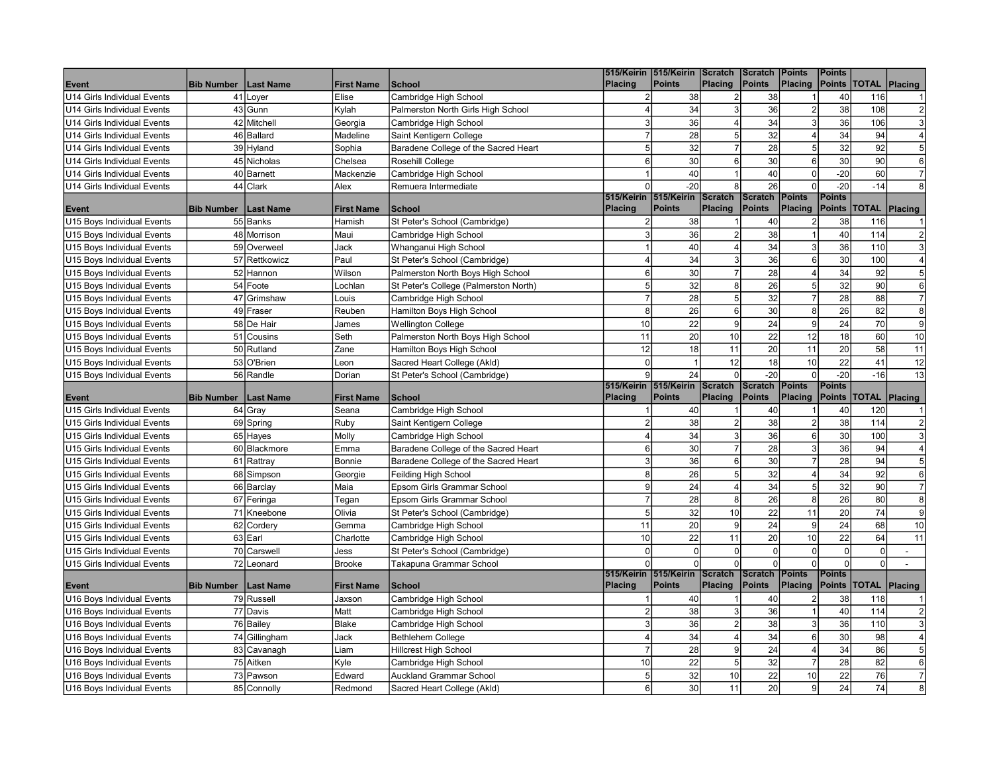|                                                          |                   |                          |                   |                                                               |                         | 515/Keirin 515/Keirin Scratch                  |                   | <b>Scratch Points</b>           |                          | <b>Points</b>                  |                          |                         |
|----------------------------------------------------------|-------------------|--------------------------|-------------------|---------------------------------------------------------------|-------------------------|------------------------------------------------|-------------------|---------------------------------|--------------------------|--------------------------------|--------------------------|-------------------------|
| Event                                                    | <b>Bib Number</b> | Last Name                | <b>First Name</b> | <b>School</b>                                                 | <b>Placing</b>          | <b>Points</b>                                  | <b>Placing</b>    | Points                          | <b>Placing</b>           |                                | Points   TOTAL   Placing |                         |
| U14 Girls Individual Events                              |                   | 41 Loyer                 | Elise             | Cambridge High School                                         | $\overline{2}$          | 38                                             | $\overline{2}$    | 38                              |                          | 40                             | 116                      |                         |
| <b>IU14 Girls Individual Events</b>                      |                   | 43 Gunn                  | Kylah             | Palmerston North Girls High School                            | $\overline{4}$          | 34                                             | $\overline{3}$    | 36                              | $\overline{2}$           | 38                             | 108                      | $\overline{2}$          |
| U14 Girls Individual Events                              |                   | 42 Mitchell              | Georgia           | Cambridge High School                                         | 3                       | 36                                             | $\overline{4}$    | 34                              | 3                        | 36                             | 106                      | 3                       |
| U14 Girls Individual Events                              |                   | 46 Ballard               | Madeline          | Saint Kentigern College                                       | $\overline{7}$          | 28                                             | 5 <sup>1</sup>    | 32                              | $\overline{4}$           | 34                             | 94                       | 4                       |
| U14 Girls Individual Events                              |                   | 39 Hyland                | Sophia            | Baradene College of the Sacred Heart                          | 5 <sup>1</sup>          | 32                                             | $\overline{7}$    | 28                              | 5 <sup>1</sup>           | 32                             | 92                       | 5 <sup>1</sup>          |
| U14 Girls Individual Events                              |                   | 45 Nicholas              | Chelsea           | Rosehill College                                              | $6 \mid$                | 30                                             | $6\overline{6}$   | 30                              | 6                        | 30                             | 90                       | $6 \mid$                |
| U14 Girls Individual Events                              |                   | 40 Barnett               | Mackenzie         | Cambridge High School                                         |                         | 40                                             | $\mathbf{1}$      | 40                              | $\Omega$                 | $-20$                          | 60                       | $\overline{7}$          |
| U14 Girls Individual Events                              |                   | 44 Clark                 | Alex              | Remuera Intermediate                                          | $\Omega$                | $-20$                                          | $\lvert 8 \rvert$ | 26                              | $\Omega$                 | $-20$                          | $-14$                    | 8 <sup>1</sup>          |
| Event                                                    | <b>Bib Number</b> | <b>Last Name</b>         | <b>First Name</b> | <b>School</b>                                                 | <b>Placing</b>          | 515/Keirin 515/Keirin Scratch<br><b>Points</b> | Placing           | Scratch Points<br>Points        | Placing                  | <b>Points</b><br><b>Points</b> | TOTAL                    | Placing                 |
| U15 Boys Individual Events                               |                   | 55 Banks                 | Hamish            | St Peter's School (Cambridge)                                 | 2                       | 38                                             |                   | 40                              |                          | 38                             | 116                      |                         |
| U15 Boys Individual Events                               |                   | 48 Morrison              | Maui              | Cambridge High School                                         | ß                       | 36                                             | $\overline{2}$    | 38                              |                          | 40                             | 114                      |                         |
| U15 Boys Individual Events                               |                   | 59 Overweel              | Jack              | Whanganui High School                                         |                         | 40                                             | $\vert 4 \vert$   | 34                              | 3                        | 36                             | 110                      | 3                       |
| U15 Boys Individual Events                               |                   | 57 Rettkowicz            | Paul              | St Peter's School (Cambridge)                                 |                         | 34                                             | $\overline{3}$    | 36                              | 6                        | 30                             | 100                      | $\overline{4}$          |
| U15 Boys Individual Events                               |                   | 52 Hannon                | Wilson            | Palmerston North Boys High School                             | 6                       | 30                                             | $\overline{7}$    | 28                              | $\overline{4}$           | 34                             | 92                       | $\sqrt{5}$              |
| U15 Boys Individual Events                               |                   | 54 Foote                 | Lochlan           | St Peter's College (Palmerston North)                         | 5 <sup>1</sup>          | 32                                             | 8 <sup>1</sup>    | 26                              | 5 <sup>1</sup>           | $\overline{32}$                | 90                       | $\,$ 6 $\,$             |
| U15 Boys Individual Events                               |                   | 47 Grimshaw              | Louis             | Cambridge High School                                         | $\overline{7}$          | 28                                             | 5 <sup>1</sup>    | 32                              | $\overline{7}$           | 28                             | 88                       | $\overline{7}$          |
| U15 Boys Individual Events                               |                   | 49 Fraser                | Reuben            | Hamilton Boys High School                                     | 8 <sup>1</sup>          | 26                                             | $\overline{6}$    | 30                              | 8                        | $\overline{26}$                | 82                       | $\bf{8}$                |
| U15 Boys Individual Events                               |                   | 58 De Hair               | James             | <b>Wellington College</b>                                     | 10                      | 22                                             | $\mathsf g$       | 24                              | -9l                      | 24                             | 70                       | $\overline{9}$          |
| U15 Boys Individual Events                               | 51                | Cousins                  | Seth              | Palmerston North Boys High School                             | 11                      | 20                                             | 10                | 22                              | 12                       | 18                             | 60                       | 10                      |
| U15 Boys Individual Events                               |                   | 50 Rutland               | Zane              | Hamilton Boys High School                                     | 12                      | 18                                             | 11                | 20                              | 11                       | 20                             | 58                       | 11                      |
| U15 Boys Individual Events                               |                   | 53 O'Brien               | Leon              | Sacred Heart College (Akld)                                   | $\overline{0}$          | $\overline{1}$                                 | 12                | 18                              | 10                       | 22                             | 41                       | 12                      |
| U15 Boys Individual Events                               |                   | 56 Randle                | Dorian            | St Peter's School (Cambridge)                                 | $\mathbf{q}$            | 24                                             | $\Omega$          | $-20$                           | $\Omega$                 | $-20$                          | $-16$                    | 13                      |
|                                                          |                   |                          |                   |                                                               |                         | 515/Keirin 515/Keirin Scratch                  |                   | Scratch Points                  |                          | <b>Points</b>                  |                          |                         |
|                                                          |                   |                          |                   |                                                               |                         |                                                |                   |                                 |                          |                                |                          |                         |
| Event                                                    | <b>Bib Number</b> | <b>Last Name</b>         | <b>First Name</b> | <b>School</b>                                                 | <b>Placing</b>          | <b>Points</b>                                  | <b>Placing</b>    | Points                          | Placing                  | <b>Points</b>                  | <b>TOTAL</b>             | Placing                 |
| U15 Girls Individual Events                              |                   | 64 Gray                  | Seana             | Cambridge High School                                         |                         | 40                                             |                   | 40                              |                          | 40                             | 120                      |                         |
| U15 Girls Individual Events                              |                   | 69 Spring                | Ruby              | Saint Kentigern College                                       | 2                       | 38                                             | $\mathbf{2}$      | 38                              | $\overline{2}$           | 38                             | 114                      |                         |
| U15 Girls Individual Events                              |                   | 65 Hayes                 | Molly             | Cambridge High School                                         |                         | 34                                             | $\overline{3}$    | 36                              | 6                        | 30                             | 100                      | 3                       |
| U15 Girls Individual Events                              |                   | 60 Blackmore             | Emma              | Baradene College of the Sacred Heart                          | 6                       | 30                                             | $\overline{7}$    | 28                              | 3                        | 36                             | 94                       |                         |
| U15 Girls Individual Events                              |                   | 61 Rattray               | Bonnie            | Baradene College of the Sacred Heart                          | 3                       | 36                                             | 6                 | 30                              |                          | 28                             | 94                       | 5                       |
| U15 Girls Individual Events                              |                   | 68 Simpson               | Georgie           | Feilding High School                                          | 8                       | 26                                             | $\overline{5}$    | 32                              | $\overline{4}$           | 34                             | 92                       | $6 \mid$                |
| U15 Girls Individual Events                              |                   | 66 Barclay               | Maia              | Epsom Girls Grammar School                                    | $\overline{9}$          | 24                                             | $\overline{4}$    | 34                              | 5                        | 32                             | 90                       | $\overline{7}$          |
| U15 Girls Individual Events                              |                   | 67 Feringa               | Tegan             | Epsom Girls Grammar School                                    | $\overline{7}$          | 28                                             | $\bf{8}$          | 26                              | 8                        | 26                             | 80                       | $\bf{8}$                |
| U15 Girls Individual Events                              |                   | 71 Kneebone              | Olivia            | St Peter's School (Cambridge)                                 | 5 <sup>1</sup>          | 32                                             | 10                | 22                              | 11                       | 20                             | 74                       | $\mathsf{g}$            |
| U15 Girls Individual Events                              |                   | 62 Cordery               | Gemma             | Cambridge High School                                         | 11                      | 20                                             | $\overline{9}$    | 24                              | 9                        | 24                             | 68                       | 10                      |
| U15 Girls Individual Events                              |                   | 63 Earl                  | Charlotte         | Cambridge High School                                         | 10                      | 22                                             | 11                | 20                              | 10 <sup>1</sup>          | 22                             | 64                       | 11                      |
| U15 Girls Individual Events                              |                   | 70 Carswell              | Jess              | St Peter's School (Cambridge)                                 | $\Omega$                | $\mathbf 0$                                    | 0                 | $\overline{0}$                  | -ol                      | $\mathbf 0$                    | $\mathbf 0$              | $\blacksquare$          |
| U15 Girls Individual Events                              |                   | 72 Leonard               | <b>Brooke</b>     | Takapuna Grammar School                                       | $\Omega$                | $\mathbf 0$                                    | $\overline{0}$    | $\Omega$                        | ΩI                       | $\Omega$                       | $\mathbf 0$              |                         |
| Event                                                    | <b>Bib Number</b> | <b>Last Name</b>         | <b>First Name</b> | <b>School</b>                                                 | Placing                 | 515/Keirin 515/Keirin Scratch<br><b>Points</b> | Placing           | <b>Scratch Points</b><br>Points | Placing                  | <b>Points</b><br><b>Points</b> | <b>TOTAL Placing</b>     |                         |
| U16 Boys Individual Events                               |                   | 79 Russell               | Jaxson            | Cambridge High School                                         |                         | 40                                             |                   | 40                              |                          | 38                             | 118                      |                         |
| U16 Boys Individual Events                               |                   | 77 Davis                 | Matt              | Cambridge High School                                         | $\mathfrak{p}$          | 38                                             | $\mathbf{3}$      | $\overline{36}$                 |                          | 40                             | 114                      | $\overline{\mathbf{c}}$ |
| U16 Boys Individual Events                               |                   | 76 Bailey                | Blake             | Cambridge High School                                         | $\overline{3}$          | 36                                             | $\overline{2}$    | 38                              | $\overline{3}$           | 36                             | 110                      | $\mathbf{3}$            |
| U16 Boys Individual Events                               |                   | 74 Gillingham            | Jack              | Bethlehem College                                             | $\overline{\mathbf{A}}$ | 34                                             | $\vert 4 \vert$   | 34                              | 6                        | 30                             | 98                       | 4                       |
| U16 Boys Individual Events                               |                   | 83 Cavanagh              | Liam              | <b>Hillcrest High School</b>                                  | $\overline{7}$          | 28                                             | $\overline{9}$    | 24                              | $\overline{\mathcal{L}}$ | 34                             | 86                       | 5 <sup>1</sup>          |
| U16 Boys Individual Events                               |                   | 75 Aitken                | Kyle              | Cambridge High School                                         | 10                      | 22                                             | 5 <sup>1</sup>    | 32                              |                          | 28                             | 82                       | $6 \mid$                |
| U16 Boys Individual Events<br>U16 Boys Individual Events |                   | 73 Pawson<br>85 Connolly | Edward            | <b>Auckland Grammar School</b><br>Sacred Heart College (Akld) | 5<br>$6 \mid$           | 32<br>30                                       | 10<br>11          | 22<br>20                        | 10<br> 9                 | 22<br>24                       | 76<br>74                 | 8                       |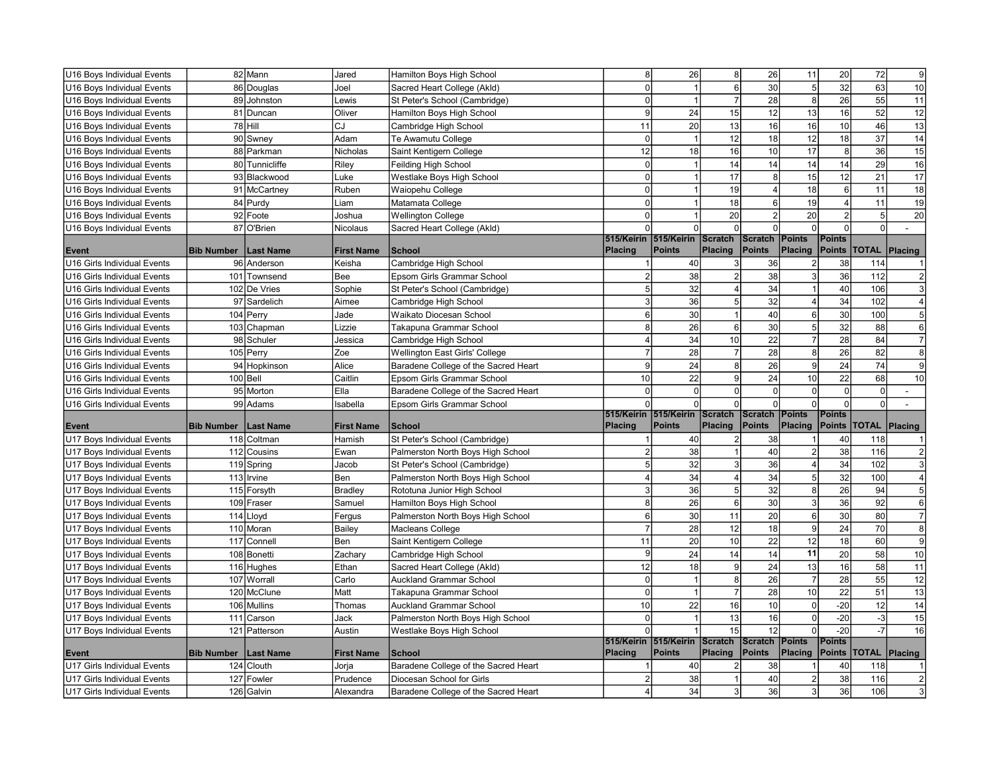| U16 Boys Individual Events                                 |                   | 82 Mann                  | Jared             | Hamilton Boys High School            | $\mathbf{8}$        | 26                            | $\bf 8$                      | 26                    | 11                | 20                      | 72              | 9               |
|------------------------------------------------------------|-------------------|--------------------------|-------------------|--------------------------------------|---------------------|-------------------------------|------------------------------|-----------------------|-------------------|-------------------------|-----------------|-----------------|
| U16 Boys Individual Events                                 |                   | 86 Douglas               | Joel              | Sacred Heart College (Akld)          | $\Omega$            | $\overline{1}$                | $\overline{6}$               | 30                    | 5 <sup>1</sup>    | 32                      | 63              | 10              |
| U16 Boys Individual Events                                 |                   | 89 Johnston              | Lewis             | St Peter's School (Cambridge)        | $\Omega$            | $\overline{1}$                | $\overline{7}$               | $\overline{28}$       | $\lvert 8 \rvert$ | $\overline{26}$         | $\overline{55}$ | 11              |
| U16 Boys Individual Events                                 |                   | 81 Duncan                | Oliver            | Hamilton Boys High School            | $\overline{9}$      | 24                            | 15                           | 12                    | 13                | 16                      | $\overline{52}$ | 12              |
| U16 Boys Individual Events                                 |                   | 78 Hill                  | CJ                | Cambridge High School                | 11                  | 20                            | 13                           | 16                    | 16                | 10                      | 46              | 13              |
| U16 Boys Individual Events                                 |                   | 90 Swney                 | Adam              | Te Awamutu College                   | $\Omega$            | $\overline{1}$                | 12                           | 18                    | 12                | 18                      | $\overline{37}$ | $\overline{14}$ |
| U16 Boys Individual Events                                 |                   | 88 Parkman               | Nicholas          | Saint Kentigern College              | 12                  | 18                            | 16                           | 10                    | 17                | $\bf 8$                 | $\overline{36}$ | 15              |
| U16 Boys Individual Events                                 |                   | 80 Tunnicliffe           | Riley             | Feilding High School                 | $\overline{0}$      | $\mathbf{1}$                  | 14                           | 14                    | 14                | $\overline{14}$         | 29              | 16              |
| U16 Boys Individual Events                                 |                   | 93 Blackwood             | Luke              | Westlake Boys High School            | $\Omega$            | $\overline{1}$                | 17                           | 8                     | 15                | 12                      | 21              | $\overline{17}$ |
| U16 Boys Individual Events                                 |                   | 91 McCartney             | Ruben             | Waiopehu College                     | $\Omega$            | $\mathbf{1}$                  | 19                           | $\overline{4}$        | 18                | $\,6\,$                 | 11              | $\overline{18}$ |
| U16 Boys Individual Events                                 |                   | 84 Purdy                 | Liam              | Matamata College                     | $\Omega$            | $\mathbf{1}$                  | 18                           | 6                     | 19                | $\overline{\mathbf{4}}$ | 11              | 19              |
| U16 Boys Individual Events                                 |                   | 92 Foote                 | Joshua            | <b>Wellington College</b>            | $\Omega$            | $\mathbf{1}$                  | 20                           | $\overline{2}$        | 20                | $\overline{2}$          | 5               | $\overline{20}$ |
| U16 Boys Individual Events                                 |                   | 87 O'Brien               | Nicolaus          | Sacred Heart College (Akld)          | $\Omega$            | $\mathbf 0$                   | $\Omega$                     | $\Omega$              | -ol               | $\Omega$                | $\mathbf 0$     | $\overline{a}$  |
|                                                            |                   |                          |                   |                                      |                     | 515/Keirin 515/Keirin Scratch |                              | Scratch   Points      |                   | Points                  |                 |                 |
| Event                                                      | <b>Bib Number</b> | <b>Last Name</b>         | <b>First Name</b> | <b>School</b>                        | Placing             | <b>Points</b>                 | Placing                      | Points                | Placing           | <b>Points</b>           | TOTAL           | Placing         |
| U16 Girls Individual Events                                |                   | 96 Anderson              | Keisha            | Cambridge High School                |                     | 40                            | 3                            | 36                    |                   | 38                      | 114             |                 |
| U16 Girls Individual Events                                |                   | 101 Townsend             | Bee               | Epsom Girls Grammar School           | $\overline{2}$      | 38                            | $\overline{2}$               | 38                    | 3                 | 36                      | 112             | $\overline{2}$  |
| U16 Girls Individual Events                                |                   | 102 De Vries             | Sophie            | St Peter's School (Cambridge)        | 5 <sup>1</sup>      | 32                            | $\vert 4 \vert$              | 34                    |                   | 40                      | 106             | 3               |
| U16 Girls Individual Events                                |                   | 97 Sardelich             | Aimee             | Cambridge High School                | $\overline{3}$      | 36                            | $\overline{5}$               | $\overline{32}$       | 4                 | 34                      | 102             |                 |
| U16 Girls Individual Events                                |                   | 104 Perry                | Jade              | Waikato Diocesan School              | $6 \mid$            | 30                            | $\mathbf{1}$                 | 40                    | 6                 | 30                      | 100             | 5               |
| U16 Girls Individual Events                                |                   | 103 Chapman              | Lizzie            | Takapuna Grammar School              | 8 <sup>1</sup>      | 26                            | $6\overline{6}$              | 30                    | 5 <sup>1</sup>    | 32                      | 88              | $6 \mid$        |
| U16 Girls Individual Events                                |                   | 98 Schuler               | Jessica           | Cambridge High School                | $\overline{4}$      | 34                            | 10                           | 22                    | $\overline{7}$    | 28                      | 84              | $\overline{7}$  |
| U16 Girls Individual Events                                |                   | 105 Perry                | Zoe               | Wellington East Girls' College       | $\overline{7}$      | 28                            | $\overline{7}$               | 28                    | $\boldsymbol{8}$  | $\overline{26}$         | 82              | $\bf{8}$        |
| U16 Girls Individual Events                                |                   | 94 Hopkinson             | Alice             | Baradene College of the Sacred Heart | 9                   | 24                            | $\bf{8}$                     | 26                    | 9                 | 24                      | 74              | $\overline{9}$  |
| U16 Girls Individual Events                                |                   | 100 Bell                 | Caitlin           | Epsom Girls Grammar School           | 10 <sup>1</sup>     | 22                            | $\overline{9}$               | 24                    | 10                | 22                      | 68              | 10              |
|                                                            |                   |                          |                   |                                      |                     |                               |                              |                       |                   |                         |                 |                 |
| U16 Girls Individual Events                                |                   | 95 Morton                | Ella              | Baradene College of the Sacred Heart | $\Omega$            | $\Omega$                      | $\overline{0}$               | $\mathbf 0$           | $\overline{0}$    | $\Omega$                | $\mathbf 0$     |                 |
| U16 Girls Individual Events                                |                   | 99 Adams                 | Isabella          | Epsom Girls Grammar School           | ΩI                  | $\Omega$                      | $\overline{0}$               | $\Omega$              | $\Omega$          | $\Omega$                | $\mathbf 0$     |                 |
|                                                            |                   |                          |                   |                                      |                     | 515/Keirin 515/Keirin Scratch |                              | <b>Scratch Points</b> |                   | <b>Points</b>           |                 |                 |
| Event                                                      | <b>Bib Number</b> | Last Name                | <b>First Name</b> | <b>School</b>                        | Placing             | <b>Points</b>                 | Placing                      | Points                | Placing           | <b>Points</b>           | <b>TOTAL</b>    | Placing         |
| U17 Boys Individual Events                                 |                   | 118 Coltman              | Hamish            | St Peter's School (Cambridge)        |                     | 40                            | $\overline{2}$               | 38                    |                   | 40                      | 118             |                 |
| U17 Boys Individual Events                                 |                   | 112 Cousins              | Ewan              | Palmerston North Boys High School    | $\overline{2}$      | 38                            | $\mathbf{1}$                 | 40                    | $2\vert$          | 38                      | 116             | $\overline{c}$  |
| U17 Boys Individual Events                                 |                   | 119 Spring               | Jacob             | St Peter's School (Cambridge)        | 5 <sup>1</sup>      | 32                            | $\mathbf{3}$                 | 36                    | $\vert$           | 34                      | 102             | $\overline{3}$  |
| U17 Boys Individual Events                                 |                   | 113 Irvine               | Ben               | Palmerston North Boys High School    | 4                   | 34                            | $\overline{4}$               | 34                    | 5                 | $\overline{32}$         | 100             | 4               |
| U17 Boys Individual Events                                 |                   | 115 Forsyth              | Bradley           | Rototuna Junior High School          | $\overline{3}$      | 36                            | $\overline{5}$               | 32                    | 8                 | $\overline{26}$         | 94              | $\sqrt{5}$      |
| U17 Boys Individual Events                                 |                   | 109 Fraser               | Samuel            | Hamilton Boys High School            | 8 <sup>1</sup>      | 26                            | $6\,$                        | 30                    | 3                 | 36                      | 92              | $6 \mid$        |
| U17 Boys Individual Events                                 |                   | 114 Lloyd                | Fergus            | Palmerston North Boys High School    | $6 \mid$            | 30                            | 11                           | 20                    | 6                 | 30                      | 80              | $\overline{7}$  |
| U17 Boys Individual Events                                 |                   | 110 Moran                | Bailey            | Macleans College                     | $\overline{7}$      | 28                            | 12                           | 18                    | $\vert 9 \vert$   | 24                      | 70              | $\bf{8}$        |
| U17 Boys Individual Events                                 | 117               | Connell                  | Ben               | Saint Kentigern College              | 11                  | 20                            | 10                           | 22                    | 12                | 18                      | 60              | $\overline{9}$  |
| U17 Boys Individual Events                                 |                   | 108 Bonetti              | Zachary           | Cambridge High School                | 9                   | 24                            | 14                           | 14                    | 11                | $\overline{20}$         | 58              | 10              |
| U17 Boys Individual Events                                 |                   | 116 Hughes               | Ethan             | Sacred Heart College (Akld)          | 12                  | 18                            | $\overline{9}$               | 24                    | 13                | 16                      | 58              | $\overline{11}$ |
| U17 Boys Individual Events                                 | 107               | Worrall                  | Carlo             | <b>Auckland Grammar School</b>       | $\Omega$            | $\overline{1}$                | $\bf{8}$                     | 26                    | $\overline{7}$    | 28                      | 55              | $\overline{12}$ |
| U17 Boys Individual Events                                 |                   | 120 McClune              | Matt              | Takapuna Grammar School              | $\overline{0}$      | $\overline{1}$                | $\overline{7}$               | 28                    | 10                | 22                      | 51              | 13              |
| U17 Boys Individual Events                                 |                   | 106 Mullins              | Thomas            | <b>Auckland Grammar School</b>       | 10                  | 22                            | 16                           | 10                    | $\overline{0}$    | $-20$                   | 12              | 14              |
| U17 Boys Individual Events                                 | 111               | Carson                   | Jack              | Palmerston North Boys High School    | $\Omega$            | $\overline{1}$                | 13                           | 16                    | $\overline{0}$    | $-20$                   | $-3$            | 15              |
| U17 Boys Individual Events                                 | 121               | Patterson                | Austin            | Westlake Boys High School            | $\Omega$            | $\overline{1}$                | 15                           | 12                    | $\Omega$          | $-20$                   | $-7$            | 16              |
|                                                            |                   |                          |                   |                                      |                     | 515/Keirin 515/Keirin Scratch |                              | Scratch Points        |                   | <b>Points</b>           |                 |                 |
| Event                                                      | <b>Bib Number</b> | <b>Last Name</b>         | <b>First Name</b> | <b>School</b>                        | <b>Placing</b>      | <b>Points</b>                 | Placing                      | Points                | Placing           |                         | Points  TOTAL   | Placing         |
| U17 Girls Individual Events                                |                   | 124 Clouth               | Jorja             | Baradene College of the Sacred Heart |                     | 40                            |                              | 38                    |                   | 40                      | 118             |                 |
| U17 Girls Individual Events<br>U17 Girls Individual Events |                   | 127 Fowler<br>126 Galvin | Prudence          | Diocesan School for Girls            | $\mathfrak{p}$<br>4 | 38<br>34                      | $\mathbf{1}$<br>$\mathbf{3}$ | 40<br>36              | 3                 | 38<br>36                | 116<br>106      | 3               |